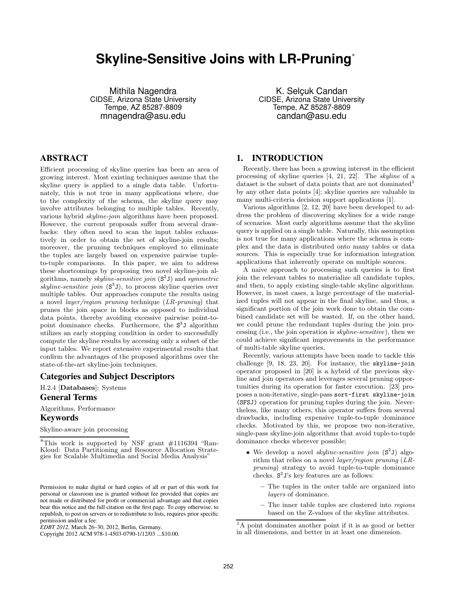# **Skyline-Sensitive Joins with LR-Pruning**<sup>∗</sup>

Mithila Nagendra CIDSE, Arizona State University Tempe, AZ 85287-8809 mnagendra@asu.edu

K. Selçuk Candan CIDSE, Arizona State University Tempe, AZ 85287-8809 candan@asu.edu

# **ABSTRACT**

Efficient processing of skyline queries has been an area of growing interest. Most existing techniques assume that the skyline query is applied to a single data table. Unfortunately, this is not true in many applications where, due to the complexity of the schema, the skyline query may involve attributes belonging to multiple tables. Recently, various hybrid skyline-join algorithms have been proposed. However, the current proposals suffer from several drawbacks: they often need to scan the input tables exhaustively in order to obtain the set of skyline-join results; moreover, the pruning techniques employed to eliminate the tuples are largely based on expensive pairwise tupleto-tuple comparisons. In this paper, we aim to address these shortcomings by proposing two novel skyline-join algorithms, namely *skyline-sensitive join*  $(S^2 J)$  and *symmetric* skyline-sensitive join  $(S^3 J)$ , to process skyline queries over multiple tables. Our approaches compute the results using a novel layer/region pruning technique (LR-pruning) that prunes the join space in blocks as opposed to individual data points, thereby avoiding excessive pairwise point-topoint dominance checks. Furthermore, the  $S^3$ J algorithm utilizes an early stopping condition in order to successfully compute the skyline results by accessing only a subset of the input tables. We report extensive experimental results that confirm the advantages of the proposed algorithms over the state-of-the-art skyline-join techniques.

# **Categories and Subject Descriptors**

H.2.4 [Databases]: Systems **General Terms**

Algorithms, Performance

### **Keywords**

Skyline-aware join processing

Copyright 2012 ACM 978-1-4503-0790-1/12/03 ...\$10.00.

# **1. INTRODUCTION**

Recently, there has been a growing interest in the efficient processing of skyline queries [4, 21, 22]. The skyline of a dataset is the subset of data points that are not dominated<sup>1</sup> by any other data points [4]; skyline queries are valuable in many multi-criteria decision support applications [1].

Various algorithms [2, 12, 20] have been developed to address the problem of discovering skylines for a wide range of scenarios. Most early algorithms assume that the skyline query is applied on a single table. Naturally, this assumption is not true for many applications where the schema is complex and the data is distributed onto many tables or data sources. This is especially true for information integration applications that inherently operate on multiple sources.

A naive approach to processing such queries is to first join the relevant tables to materialize all candidate tuples, and then, to apply existing single-table skyline algorithms. However, in most cases, a large percentage of the materialized tuples will not appear in the final skyline, and thus, a significant portion of the join work done to obtain the combined candidate set will be wasted. If, on the other hand, we could prune the redundant tuples during the join processing (i.e., the join operation is skyline-sensitive), then we could achieve significant improvements in the performance of multi-table skyline queries.

Recently, various attempts have been made to tackle this challenge [9, 18, 23, 20]. For instance, the skyline-join operator proposed in [20] is a hybrid of the previous skyline and join operators and leverages several pruning opportunities during its operation for faster execution. [23] proposes a non-iterative, single-pass sort-first skyline-join (SFSJ) operation for pruning tuples during the join. Nevertheless, like many others, this operator suffers from several drawbacks, including expensive tuple-to-tuple dominance checks. Motivated by this, we propose two non-iterative, single-pass skyline-join algorithms that avoid tuple-to-tuple dominance checks wherever possible;

- We develop a novel *skyline-sensitive join*  $(S^2J)$  algorithm that relies on a novel layer/region pruning (LRpruning) strategy to avoid tuple-to-tuple dominance checks. S 2 J's key features are as follows:
	- The tuples in the outer table are organized into layers of dominance.
	- The inner table tuples are clustered into regions based on the Z-values of the skyline attributes.

<sup>∗</sup>This work is supported by NSF grant #1116394 "Ran-Kloud: Data Partitioning and Resource Allocation Strategies for Scalable Multimedia and Social Media Analysis"

Permission to make digital or hard copies of all or part of this work for personal or classroom use is granted without fee provided that copies are not made or distributed for profit or commercial advantage and that copies bear this notice and the full citation on the first page. To copy otherwise, to republish, to post on servers or to redistribute to lists, requires prior specific permission and/or a fee.

*EDBT 2012,* March 26–30, 2012, Berlin, Germany.

<sup>&</sup>lt;sup>1</sup>A point dominates another point if it is as good or better in all dimensions, and better in at least one dimension.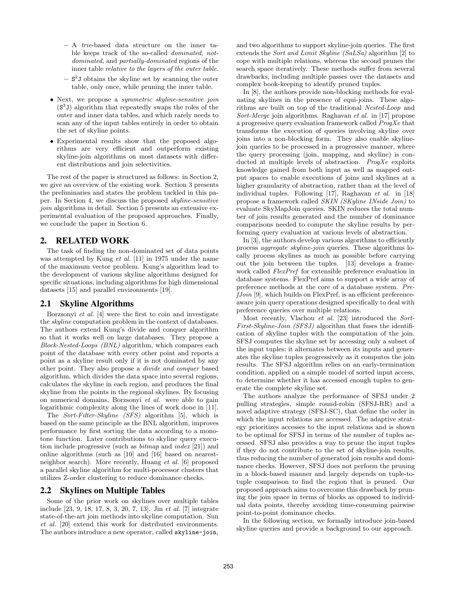- A trie-based data structure on the inner table keeps track of the so-called dominated, notdominated, and partially-dominated regions of the inner table relative to the layers of the outer table.
- $S^2$ J obtains the skyline set by scanning the outer table, only once, while pruning the inner table.
- Next, we propose a *symmetric skyline-sensitive join* (S 3 J) algorithm that repeatedly swaps the roles of the outer and inner data tables, and which rarely needs to scan any of the input tables entirely in order to obtain the set of skyline points.
- Experimental results show that the proposed algorithms are very efficient and outperform existing skyline-join algorithms on most datasets with different distributions and join selectivities.

The rest of the paper is structured as follows: in Section 2, we give an overview of the existing work. Section 3 presents the preliminaries and states the problem tackled in this paper. In Section 4, we discuss the proposed skyline-sensitive join algorithms in detail. Section 5 presents an extensive experimental evaluation of the proposed approaches. Finally, we conclude the paper in Section 6.

# **2. RELATED WORK**

The task of finding the non-dominated set of data points was attempted by Kung et al. [11] in 1975 under the name of the maximum vector problem. Kung's algorithm lead to the development of various skyline algorithms designed for specific situations, including algorithms for high dimensional datasets [15] and parallel environments [19].

# **2.1 Skyline Algorithms**

Borzsonyi et al. [4] were the first to coin and investigate the skyline computation problem in the context of databases. The authors extend Kung's divide and conquer algorithm so that it works well on large databases. They propose a Block-Nested-Loops (BNL) algorithm, which compares each point of the database with every other point and reports a point as a skyline result only if it is not dominated by any other point. They also propose a divide and conquer based algorithm, which divides the data space into several regions, calculates the skyline in each region, and produces the final skyline from the points in the regional skylines. By focusing on numerical domains, Borzsonyi et al. were able to gain logarithmic complexity along the lines of work done in [11].

The Sort-Filter-Skyline (SFS) algorithm [5], which is based on the same principle as the BNL algorithm, improves performance by first sorting the data according to a monotone function. Later contributions to skyline query execution include progressive (such as bitmap and index [21]) and online algorithms (such as [10] and [16] based on nearestneighbor search). More recently, Huang et al. [6] proposed a parallel skyline algorithm for multi-processor clusters that utilizes Z-order clustering to reduce dominance checks.

### **2.2 Skylines on Multiple Tables**

Some of the prior work on skylines over multiple tables include [23, 9, 18, 17, 8, 3, 20, 7, 13]. Jin et al. [7] integrate state-of-the-art join methods into skyline computation. Sun et al. [20] extend this work for distributed environments. The authors introduce a new operator, called skyline-join,

and two algorithms to support skyline-join queries. The first extends the Sort and Limit Skyline (SaLSa) algorithm [2] to cope with multiple relations, whereas the second prunes the search space iteratively. These methods suffer from several drawbacks, including multiple passes over the datasets and complex book-keeping to identify pruned tuples.

In [8], the authors provide non-blocking methods for evaluating skylines in the presence of equi-joins. These algorithms are built on top of the traditional Nested-Loop and Sort-Merge join algorithms. Raghavan et al. in [17] propose a progressive query evaluation framework called ProgXe that transforms the execution of queries involving skyline over joins into a non-blocking form. They also enable skylinejoin queries to be processed in a progressive manner, where the query processing (join, mapping, and skyline) is conducted at multiple levels of abstraction. ProgXe exploits knowledge gained from both input as well as mapped output spaces to enable executions of joins and skylines at a higher granularity of abstraction, rather than at the level of individual tuples. Following [17], Raghavan et al. in [18] propose a framework called SKIN (SKyline INside Join) to evaluate SkyMapJoin queries. SKIN reduces the total number of join results generated and the number of dominance comparisons needed to compute the skyline results by performing query evaluation at various levels of abstraction.

In [3], the authors develop various algorithms to efficiently process aggregate skyline-join queries. These algorithms locally process skylines as much as possible before carrying out the join between the tuples. [13] develops a framework called FlexPref for extensible preference evaluation in database systems. FlexPref aims to support a wide array of preference methods at the core of a database system. Pre $fJoin$  [9], which builds on FlexPref, is an efficient preferenceaware join query operations designed specifically to deal with preference queries over multiple relations.

Most recently, Vlachou et al. [23] introduced the Sort-First-Skyline-Join (SFSJ) algorithm that fuses the identification of skyline tuples with the computation of the join. SFSJ computes the skyline set by accessing only a subset of the input tuples; it alternates between its inputs and generates the skyline tuples progressively as it computes the join results. The SFSJ algorithm relies on an early-termination condition, applied on a simple model of sorted input access, to determine whether it has accessed enough tuples to generate the complete skyline set.

The authors analyze the performance of SFSJ under 2 pulling strategies, simple round-robin (SFSJ-RR) and a novel adaptive strategy (SFSJ-SC), that define the order in which the input relations are accessed. The adaptive strategy prioritizes accesses to the input relations and is shown to be optimal for SFSJ in terms of the number of tuples accessed. SFSJ also provides a way to prune the input tuples if they do not contribute to the set of skyline-join results, thus reducing the number of generated join results and dominance checks. However, SFSJ does not perform the pruning in a block-based manner and largely depends on tuple-totuple comparison to find the region that is pruned. Our proposed approach aims to overcome this drawback by pruning the join space in terms of blocks as opposed to individual data points, thereby avoiding time-consuming pairwise point-to-point dominance checks.

In the following section, we formally introduce join-based skyline queries and provide a background to our approach.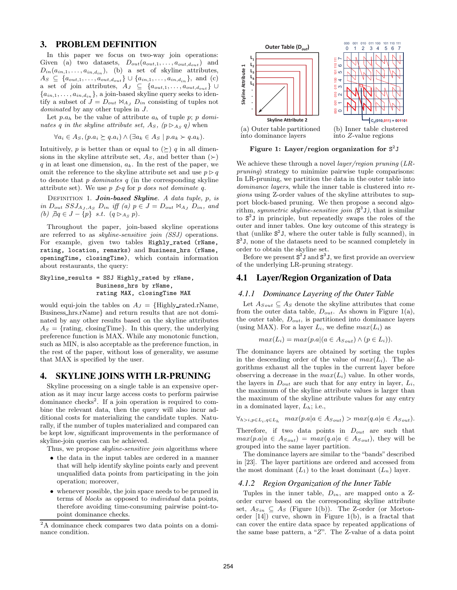# **3. PROBLEM DEFINITION**

In this paper we focus on two-way join operations: Given (a) two datasets,  $D_{out}(a_{out,1},...,a_{out,d_{out}})$  and  $D_{in}(a_{in,1},\ldots,a_{in,d_{in}}),$  (b) a set of skyline attributes,  $A_S \subseteq \{a_{out,1}, \ldots, a_{out,d_{out}}\} \cup \{a_{in,1}, \ldots, a_{in,d_{in}}\},$  and (c) a set of join attributes,  $A_J \subseteq \{a_{out,1}, \ldots, a_{out,d_{out}}\}$  ${a_{in,1}, \ldots, a_{in,d_{in}}},$  a join-based skyline query seeks to identify a subset of  $J = D_{out} \Join_{A_J} D_{in}$  consisting of tuples not dominated by any other tuples in  $J$ .

Let  $p.a_h$  be the value of attribute  $a_h$  of tuple p; p dominates q in the skyline attribute set,  $A_S$ ,  $(p \triangleright_{A_S} q)$  when

$$
\forall a_i \in A_S, (p.a_i \succeq q.a_i) \land (\exists a_k \in A_S \mid p.a_k \succ q.a_k).
$$

Intuitively, p is better than or equal to  $(\succeq)$  q in all dimensions in the skyline attribute set,  $A_S$ , and better than  $(\succ)$ q in at least one dimension,  $a_k$ . In the rest of the paper, we omit the reference to the skyline attribute set and use  $p \triangleright q$ to denote that  $p$  dominates  $q$  (in the corresponding skyline attribute set). We use  $p \nless p q$  for p does not dominate q.

DEFINITION 1. Join-based Skyline. A data tuple, p, is in  $D_{out} SSJ_{A_J, A_S}$   $D_{in}$  iff (a)  $p \in J = D_{out} \Join_{A_J} D_{in}$ , and (b)  $\exists q \in J - \{p\} \text{ s.t. } (q \triangleright_{A_S} p).$ 

Throughout the paper, join-based skyline operations are referred to as skyline-sensitive join (SSJ) operations. For example, given two tables Highly\_rated (rName, rating, location, remarks) and Business\_hrs (rName, openingTime, closingTime), which contain information about restaurants, the query:

Skyline\_results = SSJ Highly\_rated by rName, Business\_hrs by rName, rating MAX, closingTime MAX

would equi-join the tables on  $A_J = {Highly\_rated.rName}$ , Business hrs.rName} and return results that are not dominated by any other results based on the skyline attributes  $A_S = \{ \text{rating}, \text{ closingTime} \}.$  In this query, the underlying preference function is MAX. While any monotonic function, such as MIN, is also acceptable as the preference function, in the rest of the paper, without loss of generality, we assume that MAX is specified by the user.

### **4. SKYLINE JOINS WITH LR-PRUNING**

Skyline processing on a single table is an expensive operation as it may incur large access costs to perform pairwise dominance checks<sup>2</sup>. If a join operation is required to combine the relevant data, then the query will also incur additional costs for materializing the candidate tuples. Naturally, if the number of tuples materialized and compared can be kept low, significant improvements in the performance of skyline-join queries can be achieved.

Thus, we propose *skyline-sensitive join* algorithms where

- the data in the input tables are ordered in a manner that will help identify skyline points early and prevent unqualified data points from participating in the join operation; moreover,
- whenever possible, the join space needs to be pruned in terms of blocks as opposed to individual data points, therefore avoiding time-consuming pairwise point-topoint dominance checks.

<sup>2</sup>A dominance check compares two data points on a dominance condition.



Figure 1: Layer/region organization for  $S^2J$ 

We achieve these through a novel *layer/region pruning* (*LR*pruning) strategy to minimize pairwise tuple comparisons: In LR-pruning, we partition the data in the outer table into dominance layers, while the inner table is clustered into regions using Z-order values of the skyline attributes to support block-based pruning. We then propose a second algorithm, symmetric skyline-sensitive join  $(S^3 J)$ , that is similar to S 2 J in principle, but repeatedly swaps the roles of the outer and inner tables. One key outcome of this strategy is that (unlike  $S^2 J$ , where the outer table is fully scanned), in S 3 J, none of the datasets need to be scanned completely in order to obtain the skyline set.

Before we present  $S^2 J$  and  $S^3 J$ , we first provide an overview of the underlying LR-pruning strategy.

# **4.1 Layer/Region Organization of Data**

#### *4.1.1 Dominance Layering of the Outer Table*

Let  $A_{South} \subseteq A_S$  denote the skyline attributes that come from the outer data table,  $D_{out}$ . As shown in Figure 1(a), the outer table,  $D_{out}$ , is partitioned into dominance layers (using MAX). For a layer  $L_i$ , we define  $max(L_i)$  as

$$
max(L_i) = max(p.a | (a \in A_{South}) \land (p \in L_i)).
$$

The dominance layers are obtained by sorting the tuples in the descending order of the value of  $max(L_i)$ . The algorithms exhaust all the tuples in the current layer before observing a decrease in the  $max(L_i)$  value. In other words, the layers in  $D_{out}$  are such that for any entry in layer,  $L_i$ , the maximum of the skyline attribute values is larger than the maximum of the skyline attribute values for any entry in a dominated layer,  $L_h$ ; i.e.,

$$
\forall_{h>i,p\in L_i,q\in L_h} \quad max(p.a|a \in A_{Sout}) > max(q.a|a \in A_{Sout}).
$$

Therefore, if two data points in  $D_{out}$  are such that  $max(p.a|a \in A_{South}) = max(q.a|a \in A_{South})$ , they will be grouped into the same layer partition.

The dominance layers are similar to the "bands" described in [23]. The layer partitions are ordered and accessed from the most dominant  $(L_1)$  to the least dominant  $(L_n)$  layer.

#### *4.1.2 Region Organization of the Inner Table*

Tuples in the inner table,  $D_{in}$ , are mapped onto a Zorder curve based on the corresponding skyline attribute set,  $A_{Sin} \subseteq A_S$  (Figure 1(b)). The Z-order (or Mortonorder  $[14]$  curve, shown in Figure 1(b), is a fractal that can cover the entire data space by repeated applications of the same base pattern, a "Z". The Z-value of a data point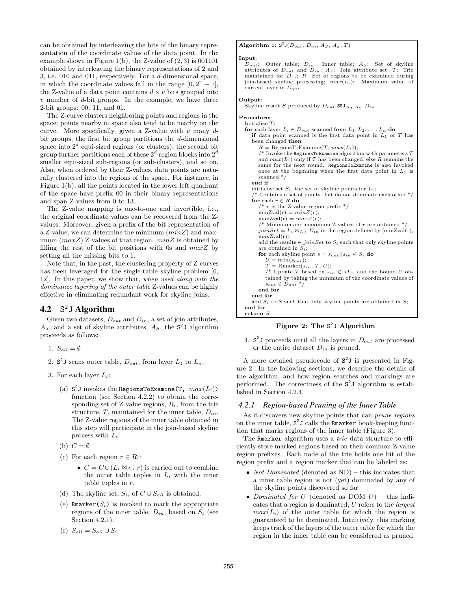can be obtained by interleaving the bits of the binary representation of the coordinate values of the data point. In the example shown in Figure 1(b), the Z-value of  $(2, 3)$  is 001101 obtained by interleaving the binary representations of 2 and 3, i.e. 010 and 011, respectively. For a d-dimensional space, in which the coordinate values fall in the range  $[0, 2^v - 1]$ , the Z-value of a data point contains  $d \times v$  bits grouped into  $v$  number of  $d$ -bit groups. In the example, we have three 2-bit groups: 00, 11, and 01.

The Z-curve clusters neighboring points and regions in the space; points nearby in space also tend to be nearby on the curve. More specifically, given a Z-value with  $v$  many  $d$ bit groups, the first bit group partitions the d-dimensional space into  $2^d$  equi-sized regions (or clusters), the second bit group further partitions each of these  $2^d$  region blocks into  $2^d$ smaller equi-sized sub-regions (or sub-clusters), and so on. Also, when ordered by their Z-values, data points are naturally clustered into the regions of the space. For instance, in Figure 1(b), all the points located in the lower left quadrant of the space have prefix 00 in their binary representations and span Z-values from 0 to 13.

The Z-value mapping is one-to-one and invertible, i.e., the original coordinate values can be recovered from the Zvalues. Moreover, given a prefix of the bit representation of a Z-value, we can determine the minimum  $(minZ)$  and maximum  $(maxZ)$  Z-values of that region.  $minZ$  is obtained by filling the rest of the bit positions with 0s and  $maxZ$  by setting all the missing bits to 1.

Note that, in the past, the clustering property of Z-curves has been leveraged for the single-table skyline problem [6, 12]. In this paper, we show that, when used along with the dominance layering of the outer table Z-values can be highly effective in eliminating redundant work for skyline joins.

#### **4.2** S <sup>2</sup>J **Algorithm**

Given two datasets,  $D_{out}$  and  $D_{in}$ , a set of join attributes,  $A_J$ , and a set of skyline attributes,  $A_S$ , the  $S^2J$  algorithm proceeds as follows:

- 1.  $S_{all} = \emptyset$
- 2.  $S^2J$  scans outer table,  $D_{out}$ , from layer  $L_1$  to  $L_n$ .
- 3. For each layer  $L_i$ :
	- (a)  $S^2J$  invokes the RegionsToExamine(T,  $max(L_i)$ ) function (see Section 4.2.2) to obtain the corresponding set of  $Z$ -value regions,  $R_i$ , from the trie structure,  $T$ , maintained for the inner table,  $D_{in}$ . The Z-value regions of the inner table obtained in this step will participate in the join-based skyline process with  $L_i$ .
	- (b)  $C = \emptyset$
	- (c) For each region  $r \in R_i$ :
		- $C = C \cup (L_i \bowtie_{A_J} r)$  is carried out to combine the outer table tuples in  $L_i$  with the inner table tuples in r.
	- (d) The skyline set,  $S_i$ , of  $C \cup S_{all}$  is obtained.
	- (e) Rmarker $(S_i)$  is invoked to mark the appropriate regions of the inner table,  $D_{in}$ , based on  $S_i$  (see Section 4.2.1).
	- (f)  $S_{all} = S_{all} \cup S_i$

#### Algorithm 1:  $S^2 J(D_{out}, D_{in}, A_S, A_J, T)$

#### Input:

 $D_{out}$ : Outer table;  $D_{in}$ : Inner table;  $A_S$ : Set of skyline attributes of  $D_{out}$  and  $D_{in}$ ;  $A_J$ : Join attribute set; T: Trie maintained for  $D_{in}$ ; R: Set of regions to be examined during join-based skyline processing;  $max(L_i)$ : Maximum value of current layer in  $D_{out}$ 

#### Output:

- Skyline result S produced by  $D_{out}$  SSJ<sub>A<sub>J</sub>,A<sub>S</sub></sub>  $D_{in}$
- Procedure: Initialize  $T$ ; for each layer  $L_i \in D_{out}$  scanned from  $L_1, L_2, \ldots, L_n$  do if data point scanned is the first data point in  $L_1$  or  $T$  has been changed then  $R = \text{RegionsToExamine}(T, max(L_i));$ /\* Invoke the RegionsToExamine algorithm with parameters  $T$ and  $max(L_i)$  only if T has been changed, else R remains the same for the next round. RegionsToExamine is also invoked once at the beginning when the first data point in  $L_1$  is scanned \*/ end if initialize set  $S_i$ , the set of skyline points for  $L_i$ ; /\* Contains a set of points that do not dominate each other \*/ for each  $r \in R$ do  $/* r$  is the Z-value region prefix  $*/r$  $minZval(r) = minZ(r);$  $maxZval(r) = maxZ(r);$  $/*$  Minimum and maximum Z-values of r are obtained \* joinSet =  $L_i \Join_{A_j} D_{in}$  in the region defined by  $[\min Zval(r)]$ , maxZval(r)]; add the results  $\in joinSet$  to  $S_i$  such that only skyline points
	- are obtained in  $S_i$ ; for each skyline point  $s = s_{out} || s_{in} \in S_i$  do  $U = min(s_{out});$  $T =$  Rmarker $(s_{in}, T, U);$ /\* Update T based on  $s_{in} \in D_{in}$  and the bound U obtained by taking the minimum of the coordinate values of  $s_{out} \in D_{out}$  \* end for end for add  $S_i$  to S such that only skyline points are obtained in S; end for return S

#### Figure 2: The S<sup>2</sup>J Algorithm

4.  $S^2$ J proceeds until all the layers in  $D_{out}$  are processed or the entire dataset  $D_{in}$  is pruned.

A more detailed pseudocode of  $S^2J$  is presented in Figure 2. In the following sections, we describe the details of the algorithm, and how region searches and markings are performed. The correctness of the  $S^2J$  algorithm is established in Section 4.2.4.

#### *4.2.1 Region-based Pruning of the Inner Table*

As it discovers new skyline points that can prune regions on the inner table,  $S^2 J$  calls the Rmarker book-keeping function that marks regions of the inner table (Figure 3).

The Rmarker algorithm uses a *trie* data structure to efficiently store marked regions based on their common Z-value region prefixes. Each node of the trie holds one bit of the region prefix and a region marker that can be labeled as:

- *Not-Dominated* (denoted as  $ND$ ) this indicates that a inner table region is not (yet) dominated by any of the skyline points discovered so far.
- Dominated for U (denoted as  $DOM U$ ) this indicates that a region is dominated; U refers to the largest  $max(L_i)$  of the outer table for which the region is guaranteed to be dominated. Intuitively, this marking keeps track of the layers of the outer table for which the region in the inner table can be considered as pruned.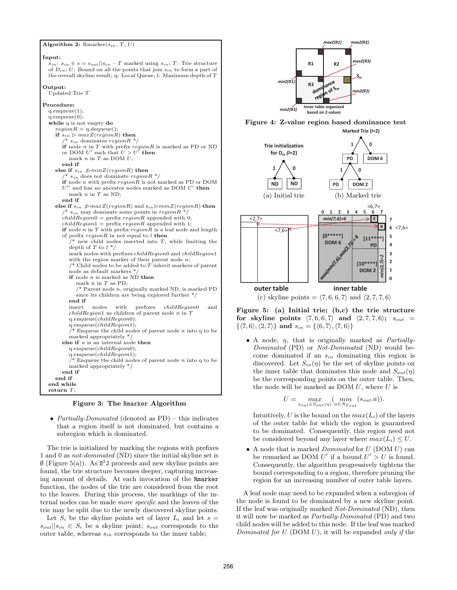Algorithm 2: Rmarker $(s_{in}, T, U)$ 

Input:  $s_{in}: s_{in} \in s = s_{out} || s_{in} - T$  marked using  $s_{in}: T:$  Trie structure of  $D_{in}$ ; U: Bound on all the points that join  $s_{in}$  to form a part of the overall skyline result; q: Local Queue; l: Maximum depth of T Output: Updated Trie T Procedure: q.enqueue(1); q.enqueue(0); while q is not empty do  $region R = q$ .dequeue() if  $s_{in} \vartriangleright maxZ(region R)$  then  $s_{in}$  dominates region  $R^*/$ if node n in T with prefix  $region R$  is marked as PD or ND or DOM  $U'$  such that  $U > U'$  then mark  $n$  in  $T$  as DOM  $U$ ; end if else if  $s_{in} \ \text{fminZ}(\text{regionR})$  then  $s_{in}$  does not dominate region $R^*$ / if node  $n$  with prefix  $region R$  is not marked as PD or DOM  $U^{\prime\prime}$  $\mu$  and has no ancestor nodes marked as DOM  $U'$  then mark  $n$  in  $T$  as ND; end if else if  $s_{in} \not\triangleright maxZ(region R)$  and  $s_{in} \triangleright minZ(region R)$  then  $s_{in}$  may dominate some points in  $region R$  \*  $childRegion0 = prefix regionR$  appended with 0;  $childRegion1 = prefix regionR appended with 1;$ if node n in T with prefix  $region R$  is a leaf node and length of prefix  $regionR$  in not equal to  $l$  then  $*$  new child nodes inserted into  $T$ , while limiting the depth of  $T$  to  $l^*$ mark nodes with prefixes  $childRegion0$  and  $childRegion1$ with the region marker of their parent node  $n$ ;  $/*$  Child nodes to be added to  $T$  inherit markers of parent node as default markers \*/ if node *n* is marked as  $N\acute{D}$  then mark  $n$  in  $T$  as PD;  $/*$  Parent node  $n$ , originally marked ND, is marked PD since its children are being explored further \*/ end if  $\begin{minipage}{0.9\linewidth} \hspace*{0.2cm} \textbf{in} & \textbf{in} \\ \hspace*{0.2cm} \textbf{in} & \textbf{in} \\ \textbf{in} & \textbf{in} \\ \textbf{in} & \textbf{in} \\ \textbf{in} & \textbf{in} \\ \textbf{in} & \textbf{in} \\ \textbf{in} & \textbf{in} \\ \textbf{in} & \textbf{in} \\ \textbf{in} & \textbf{in} \\ \textbf{in} & \textbf{in} \\ \textbf{in} & \textbf{in} \\ \textbf{in} & \textbf{in} \\ \textbf{in} & \textbf{in} \\ \textbf{in$  $childRegion1$  as children of parent node n in  $T$ q.enqueue(childRegion0); q.enqueue $\overrightarrow{childRegion1)}$ ;  $\bar{a}$  Enqueue the child nodes of parent node n into q to be marked appropriately \*/ else if  $n$  is an internal node then q.enqueue(childRegion0); q.enqueue $(childRegion1);$   $/*$  Enqueue the child nodes of parent node  $n$  into q to be marked appropriately \*/ end if end if end while return  $T$ :

Figure 3: The Rmarker Algorithm

• Partially-Dominated (denoted as  $PD$ ) – this indicates that a region itself is not dominated, but contains a subregion which is dominated.

The trie is initialized by marking the regions with prefixes 1 and 0 as not-dominated (ND) since the initial skyline set is  $\emptyset$  (Figure 5(a)). As  $S^2J$  proceeds and new skyline points are found, the trie structure becomes deeper, capturing increasing amount of details. At each invocation of the Rmarker function, the nodes of the trie are considered from the root to the leaves. During this process, the markings of the internal nodes can be made more specific and the leaves of the trie may be split due to the newly discovered skyline points.

Let  $S_i$  be the skyline points set of layer  $L_i$  and let  $s =$  $s_{out}||s_{in} \in S_i$  be a skyline point;  $s_{out}$  corresponds to the outer table, whereas  $s_{in}$  corresponds to the inner table;



Figure 4: Z-value region based dominance test





Figure 5: (a) Initial trie; (b,c) the trie structure for skyline points  $\langle 7, 6, 6, 7 \rangle$  and  $\langle 2, 7, 7, 6 \rangle$ ;  $s_{out}$  =  $\{\langle 7, 6 \rangle, \langle 2, 7 \rangle\}$  and  $s_{in} = \{\langle 6, 7 \rangle, \langle 7, 6 \rangle\}$ 

• A node,  $\eta$ , that is originally marked as *Partially*-Dominated (PD) or Not-Dominated (ND) would become dominated if an  $s_{in}$  dominating this region is discovered. Let  $S_{in}(\eta)$  be the set of skyline points on the inner table that dominates this node and  $S_{out}(\eta)$ be the corresponding points on the outer table. Then, the node will be marked as DOM  $U$ , where  $U$  is

$$
U = \max_{s_{out} \in S_{out}(\eta)} (\min_{a \in A_{S_{out}}} (s_{out}.a)).
$$

Intuitively, U is the bound on the  $max(L_i)$  of the layers of the outer table for which the region is guaranteed to be dominated. Consequently, this region need not be considered beyond any layer where  $max(L_i) \leq U$ .

• A node that is marked *Dominated* for  $U$  (DOM  $U$ ) can be remarked as DOM  $U'$  if a bound  $U' > U$  is found. Consequently, the algorithm progressively tightens the bound corresponding to a region, therefore pruning the region for an increasing number of outer table layers.

A leaf node may need to be expanded when a subregion of the node is found to be dominated by a new skyline point. If the leaf was originally marked Not-Dominated (ND), then it will now be marked as Partially-Dominated (PD) and two child nodes will be added to this node. If the leaf was marked Dominated for  $U$  (DOM  $U$ ), it will be expanded only if the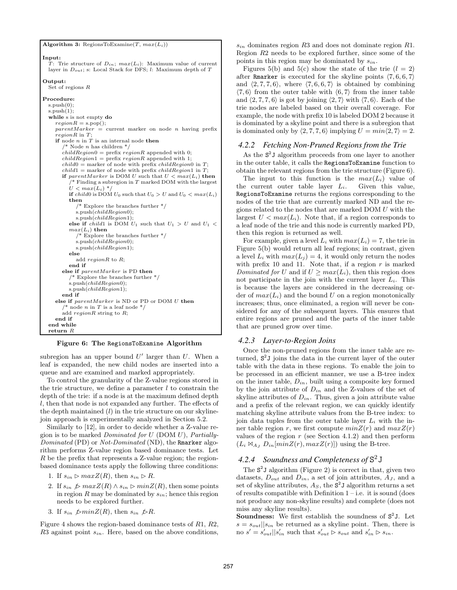Algorithm 3: RegionsToExamine $(T, max(L_i))$ 

```
Input:
  T: Trie structure of D_{in}; max(L_i): Maximum value of current
 layer in D_{out}; s: Local Stack for DFS; l: Maximum depth of T
Output:
  Set of regions R
Procedure:
  s.push(0);s.push(1);while s is not empty do
    regionR = s.pop();parentMarket = current marker on node n having prefix
    reqionR in T:
    if node n in T is an internal node then
        * Node n has children */childRegion0 = prefix regionR appended with 0;
       childRegion1 = prefix regionR appended with 1;
       child0 = marker of node with prefix childRegion0 in T;
       child1 = marker of node with prefix childRegion1 in T;
       if parentMarker is DOM U such that U < max(L_i) then
           * Finding a subregion in T marked DOM with the largest
         U < max(L_i) */
         if child0 is DOM U_0 such that U_0 > U and U_0 < max(L_i)then
            /* Explore the branches further */s.push(childRegion0);s.push(childRegion1);
         else if child1 is DOM U_1 such that U_1 > U and U_1 <max(L_i) then
             /* Explore the branches further */
            s.push(childRegion0);s.push(childRegion1);else
           add region R to R;
         end if
       else if parentMarker is PD then
          /* Explore the branches further */s.push(childRegion0);
         s.push(childRegion1);
       end if
    else if parentMarker is ND or PD or DOM U then
         node n in T is a leaf node */add regionR string to R;
    end if
  end while
  return R
```
Figure 6: The RegionsToExamine Algorithm

subregion has an upper bound  $U'$  larger than  $U$ . When a leaf is expanded, the new child nodes are inserted into a queue and are examined and marked appropriately.

To control the granularity of the Z-value regions stored in the trie structure, we define a parameter  $l$  to constrain the depth of the trie: if a node is at the maximum defined depth l, then that node is not expanded any further. The effects of the depth maintained  $(l)$  in the trie structure on our skylinejoin approach is experimentally analyzed in Section 5.2.

Similarly to [12], in order to decide whether a Z-value region is to be marked *Dominated for U* (DOM  $U$ ), *Partially*-Dominated (PD) or Not-Dominated (ND), the Rmarker algorithm performs Z-value region based dominance tests. Let R be the prefix that represents a Z-value region; the regionbased dominance tests apply the following three conditions:

- 1. If  $s_{in} \rhd maxZ(R)$ , then  $s_{in} \rhd R$ .
- 2. If  $s_{in} \not\triangleright maxZ(R) \land s_{in} \triangleright minZ(R)$ , then some points in region  $R$  may be dominated by  $s_{in}$ ; hence this region needs to be explored further.
- 3. If  $s_{in} \not\vartriangleright minZ(R)$ , then  $s_{in} \not\vartriangleright R$ .

Figure 4 shows the region-based dominance tests of R1, R2,  $R3$  against point  $s_{in}$ . Here, based on the above conditions,

 $s_{in}$  dominates region R3 and does not dominate region R1. Region R2 needs to be explored further, since some of the points in this region may be dominated by  $s_{in}$ .

Figures 5(b) and 5(c) show the state of the trie  $(l = 2)$ after Rmarker is executed for the skyline points  $\langle 7, 6, 6, 7 \rangle$ and  $\langle 2, 7, 7, 6 \rangle$ , where  $\langle 7, 6, 6, 7 \rangle$  is obtained by combining  $\langle 7, 6 \rangle$  from the outer table with  $\langle 6, 7 \rangle$  from the inner table and  $\langle 2, 7, 7, 6 \rangle$  is got by joining  $\langle 2, 7 \rangle$  with  $\langle 7, 6 \rangle$ . Each of the trie nodes are labeled based on their overall coverage. For example, the node with prefix 10 is labeled DOM 2 because it is dominated by a skyline point and there is a subregion that is dominated only by  $\langle 2, 7, 7, 6 \rangle$  implying  $U = min\langle 2, 7 \rangle = 2$ .

#### *4.2.2 Fetching Non-Pruned Regions from the Trie*

As the  $S^2$ J algorithm proceeds from one layer to another in the outer table, it calls the RegionsToExamine function to obtain the relevant regions from the trie structure (Figure 6).

The input to this function is the  $max(L_i)$  value of the current outer table layer  $L_i$ . Given this value, RegionsToExamine returns the regions corresponding to the nodes of the trie that are currently marked ND and the regions related to the nodes that are marked DOM U with the largest  $U < max(L_i)$ . Note that, if a region corresponds to a leaf node of the trie and this node is currently marked PD, then this region is returned as well.

For example, given a level  $L_i$  with  $max(L_i) = 7$ , the trie in Figure 5(b) would return all leaf regions; in contrast, given a level  $L_i$  with  $max(L_j) = 4$ , it would only return the nodes with prefix 10 and 11. Note that, if a region  $r$  is marked Dominated for U and if  $U \geq max(L_i)$ , then this region does not participate in the join with the current layer  $L_i$ . This is because the layers are considered in the decreasing order of  $max(L_i)$  and the bound U on a region monotonically increases; thus, once eliminated, a region will never be considered for any of the subsequent layers. This ensures that entire regions are pruned and the parts of the inner table that are pruned grow over time.

#### *4.2.3 Layer-to-Region Joins*

Once the non-pruned regions from the inner table are returned,  $S^2$ J joins the data in the current layer of the outer table with the data in these regions. To enable the join to be processed in an efficient manner, we use a B-tree index on the inner table,  $D_{in}$ , built using a composite key formed by the join attribute of  $D_{in}$  and the Z-values of the set of skyline attributes of  $D_{in}$ . Thus, given a join attribute value and a prefix of the relevant region, we can quickly identify matching skyline attribute values from the B-tree index: to join data tuples from the outer table layer  $L_i$  with the inner table region r, we first compute  $minZ(r)$  and  $maxZ(r)$ values of the region  $r$  (see Section 4.1.2) and then perform  $(L_i \boxtimes_{A_J} D_{in}[minZ(r), maxZ(r)])$  using the B-tree.

# *4.2.4 Soundness and Completeness of* S 2J

The  $S^2$ J algorithm (Figure 2) is correct in that, given two datasets,  $D_{out}$  and  $D_{in}$ , a set of join attributes,  $A_J$ , and a set of skyline attributes,  $A_S$ , the  $S^2$ J algorithm returns a set of results compatible with Definition  $1 - i.e.$  it is sound (does not produce any non-skyline results) and complete (does not miss any skyline results).

**Soundness:** We first establish the soundness of  $S^2$ J. Let  $s = s_{out}$ ||s<sub>in</sub> be returned as a skyline point. Then, there is no  $s' = s'_{out} || s'_{in}$  such that  $s'_{out} \triangleright s_{out}$  and  $s'_{in} \triangleright s_{in}$ .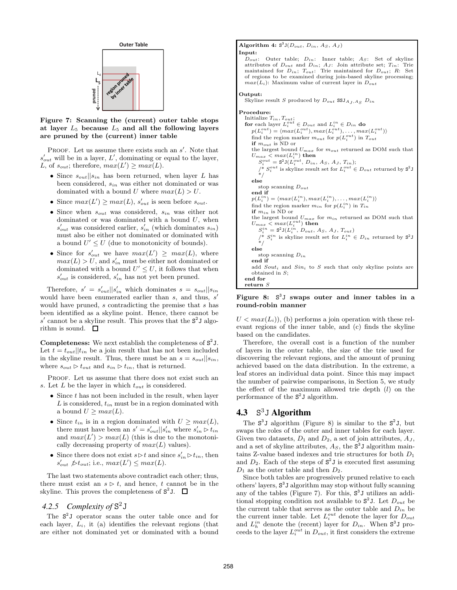

Figure 7: Scanning the (current) outer table stops at layer  $L_5$  because  $L_5$  and all the following layers are pruned by the (current) inner table

PROOF. Let us assume there exists such an  $s'$ . Note that  $s'_{out}$  will be in a layer, L', dominating or equal to the layer, L, of  $s_{out}$ ; therefore,  $max(L') \geq max(L)$ .

- Since  $s_{out}||s_{in}$  has been returned, when layer L has been considered,  $s_{in}$  was either not dominated or was dominated with a bound U where  $max(L) > U$ .
- Since  $max(L') \geq max(L)$ ,  $s'_{out}$  is seen before  $s_{out}$ .
- Since when  $s_{out}$  was considered,  $s_{in}$  was either not dominated or was dominated with a bound  $U$ , when  $s'_{out}$  was considered earlier,  $s'_{in}$  (which dominates  $s_{in}$ ) must also be either not dominated or dominated with a bound  $U' \leq U$  (due to monotonicity of bounds).
- Since for  $s'_{out}$  we have  $max(L') \geq max(L)$ , where  $max(L) > U$ , and  $s'_{in}$  must be either not dominated or dominated with a bound  $U' \leq U$ , it follows that when  $s'_{out}$  is considered,  $s'_{in}$  has not yet been pruned.

Therefore,  $s' = s'_{out} || s'_{in}$  which dominates  $s = s_{out} || s_{in}$ would have been enumerated earlier than s, and thus, s' would have pruned, s contradicting the premise that s has been identified as a skyline point. Hence, there cannot be  $s'$  cannot be a skyline result. This proves that the  $S^2$ J algorithm is sound.  $\square$ 

**Completeness:** We next establish the completeness of  $S^2$ J. Let  $t = t_{out}$ , the a join result that has not been included in the skyline result. Thus, there must be an  $s = s_{out}||s_{in}$ , where  $s_{out} \triangleright t_{out}$  and  $s_{in} \triangleright t_{in}$ , that is returned.

PROOF. Let us assume that there does not exist such an s. Let L be the layer in which  $t_{out}$  is considered.

- Since  $t$  has not been included in the result, when layer  $L$  is considered,  $t_{in}$  must be in a region dominated with a bound  $U \geq max(L)$ .
- Since  $t_{in}$  is in a region dominated with  $U \geq max(L)$ , there must have been an  $s' = s'_{out} || s'_{in}$  where  $s'_{in} \triangleright t_{in}$ and  $max(L') > max(L)$  (this is due to the monotonically decreasing property of  $max(L)$  values).
- Since there does not exist  $s \triangleright t$  and since  $s'_{in} \triangleright t_{in}$ , then  $s'_{out} \nless t_{out}$ ; i.e.,  $max(L') \leq max(L)$ .

The last two statements above contradict each other; thus, there must exist an  $s \triangleright t$ , and hence, t cannot be in the skyline. This proves the completeness of  $S^2$ J.

# *4.2.5 Complexity of* S 2J

The  $S^2$ J operator scans the outer table once and for each layer,  $L_i$ , it (a) identifies the relevant regions (that are either not dominated yet or dominated with a bound

#### Algorithm 4:  $S^3 J(D_{out}, D_{in}, A_S, A_J)$

```
\begin{array}{c} \textbf{Input:} \\ D_{out} \end{array}Outer table; D_{in}: Inner table; A_S: Set of skyline
   attributes of D_{out} and D_{in}; A_J: Join attribute set; T_{in}: Trie
   maintained for D_{in}; T_{out}: Trie maintained for D_{out}; R: Set of regions to be examined during join-based skyline processing;
   max(L_i): Maximum value of current layer in D_{out}
```
#### Output:

Skyline result S produced by  $D_{out}$  SSJ<sub>A<sub>I</sub>,A<sub>S</sub></sub>  $D_{in}$ 

Procedure:

```
Initialize T_{in}, T_{out};<br>for each layer L_i^{out} \in D_{out} and L_i^{in} \in D_{in} do
    p(L_i^{out}) = \langle max(L_i^{out}), max(L_i^{out}), \dots, max(L_i^{out}) \ranglefind the region marker m_{out} for p(L_i^{out}) in T_{out}if m_{out} is ND or
   the largest bound U_{max} for m_{out} returned as DOM such that
    U_{max} < max (L^{in}_i) then
       S_i^{out} = \mathbf{S}^2 \mathbf{J}(L_i^{out}, D_{in}, A_S, A_J, T_{in});/* S_i^{out} is skyline result set for L_i^{out} \in D_{out} returned by S^2 J<br>*/
   else
       stop scanning D_{out}end if
    p(L_i^{in}) = \langle max(L_i^{in}), max(L_i^{in}), \ldots, max(L_i^{in}) \ranglefind the region marker m_{in} for p(L_i^{in}) in T_{in}\mathbf{if} m_{in} is ND or
    the largest bound U_{max} for m_{in} returned as DOM such that
    U_{max} < max(L_i^{out}) then
       S_i^{in} = \mathbf{S}^2 \mathbf{J}(L_i^{in}, D_{out}, A_S, A_J, T_{out})/* S_i^{in} is skyline result set for L_i^{in} \in D_{in} returned by S^2 J<br>*/
   else
       stop scanning D_{in}end if
   add South_i and Sin_i to S such that only skyline points are
   obtained in S;
end for
return \bar{S}
```
Figure 8: S<sup>3</sup>J swaps outer and inner tables in a round-robin manner

 $U < max(L_i)$ , (b) performs a join operation with these relevant regions of the inner table, and (c) finds the skyline based on the candidates.

Therefore, the overall cost is a function of the number of layers in the outer table, the size of the trie used for discovering the relevant regions, and the amount of pruning achieved based on the data distribution. In the extreme, a leaf stores an individual data point. Since this may impact the number of pairwise comparisons, in Section 5, we study the effect of the maximum allowed trie depth  $(l)$  on the performance of the S 2 J algorithm.

# **4.3** S <sup>3</sup>J **Algorithm**

The  $S^3J$  algorithm (Figure 8) is similar to the  $S^2J$ , but swaps the roles of the outer and inner tables for each layer. Given two datasets,  $D_1$  and  $D_2$ , a set of join attributes,  $A_J$ , and a set of skyline attributes,  $A_S$ , the  $S^3J$  algorithm maintains  $Z$ -value based indexes and trie structures for both  $D_1$ and  $D_2$ . Each of the steps of  $S^2J$  is executed first assuming  $D_1$  as the outer table and then  $D_2$ .

Since both tables are progressively pruned relative to each others' layers, S 3 J algorithm may stop without fully scanning any of the tables (Figure 7). For this, S 3 J utilizes an additional stopping condition not available to  $S^2$ J. Let  $D_{out}$  be the current table that serves as the outer table and  $D_{in}$  be the current inner table. Let  $L_i^{out}$  denote the layer for  $D_{out}$ and  $L_h^{in}$  denote the (recent) layer for  $D_{in}$ . When  $S^3J$  proceeds to the layer  $L_i^{out}$  in  $D_{out}$ , it first considers the extreme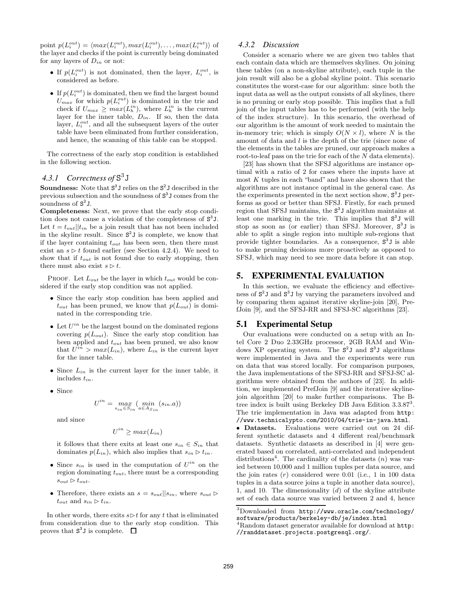point  $p(L_i^{out}) = \langle max(L_i^{out}), max(L_i^{out}), \dots, max(L_i^{out}) \rangle$  of the layer and checks if the point is currently being dominated for any layers of  $D_{in}$  or not:

- If  $p(L_i^{out})$  is not dominated, then the layer,  $L_i^{out}$ , is considered as before.
- If  $p(L_i^{out})$  is dominated, then we find the largest bound  $U_{max}$  for which  $p(L_i^{out})$  is dominated in the trie and check if  $U_{max} \geq max(L_h^{in})$ , where  $L_h^{in}$  is the current layer for the inner table,  $D_{in}$ . If so, then the data layer,  $L_i^{out}$ , and all the subsequent layers of the outer table have been eliminated from further consideration, and hence, the scanning of this table can be stopped.

The correctness of the early stop condition is established in the following section.

# *4.3.1 Correctness of* S 3J

**Soundness:** Note that  $S^3 J$  relies on the  $S^2 J$  described in the previous subsection and the soundness of  $S<sup>3</sup>$  J comes from the soundness of  $S^2J$ .

Completeness: Next, we prove that the early stop condition does not cause a violation of the completeness of  $S^3$ J. Let  $t = t_{out}$ , the a join result that has not been included in the skyline result. Since  $S^2J$  is complete, we know that if the layer containing  $t_{out}$  has been seen, then there must exist an  $s \triangleright t$  found earlier (see Section 4.2.4). We need to show that if  $t_{out}$  is not found due to early stopping, then there must also exist  $s \triangleright t$ .

PROOF. Let  $L_{out}$  be the layer in which  $t_{out}$  would be considered if the early stop condition was not applied.

- Since the early stop condition has been applied and  $t_{out}$  has been pruned, we know that  $p(L_{out})$  is dominated in the corresponding trie.
- Let  $U^{in}$  be the largest bound on the dominated regions covering  $p(L_{out})$ . Since the early stop condition has been applied and  $t_{out}$  has been pruned, we also know that  $U^{in} > max(L_{in})$ , where  $L_{in}$  is the current layer for the inner table.
- Since  $L_{in}$  is the current layer for the inner table, it includes tin.
- Since

$$
U^{in} = \max_{s_{in} \in S_{in}} (\min_{a \in A_{S_{in}}} (s_{in}.a))
$$

and since

$$
U^{in} \geq max(L_{in})
$$

it follows that there exits at least one  $s_{in} \in S_{in}$  that dominates  $p(L_{in})$ , which also implies that  $s_{in} \triangleright t_{in}$ .

- Since  $s_{in}$  is used in the computation of  $U^{in}$  on the region dominating  $t_{out}$ , there must be a corresponding  $s_{out} \triangleright t_{out}.$
- Therefore, there exists an  $s = s_{out} || s_{in}$ , where  $s_{out} \triangleright$  $t_{out}$  and  $s_{in} \triangleright t_{in}$ .

In other words, there exits  $s \triangleright t$  for any t that is eliminated from consideration due to the early stop condition. This proves that  $S^3 J$  is complete.

#### *4.3.2 Discussion*

Consider a scenario where we are given two tables that each contain data which are themselves skylines. On joining these tables (on a non-skyline attribute), each tuple in the join result will also be a global skyline point. This scenario constitutes the worst-case for our algorithm: since both the input data as well as the output consists of all skylines, there is no pruning or early stop possible. This implies that a full join of the input tables has to be performed (with the help of the index structure). In this scenario, the overhead of our algorithm is the amount of work needed to maintain the in-memory trie; which is simply  $O(N \times l)$ , where N is the amount of data and l is the depth of the trie (since none of the elements in the tables are pruned, our approach makes a root-to-leaf pass on the trie for each of the N data elements).

[23] has shown that the SFSJ algorithms are instance optimal with a ratio of 2 for cases where the inputs have at most  $K$  tuples in each "band" and have also shown that the algorithms are not instance optimal in the general case. As the experiments presented in the next section show,  $S^3 J$  performs as good or better than SFSJ. Firstly, for each pruned region that SFSJ maintains, the  $S<sup>3</sup>$ J algorithm maintains at least one marking in the trie. This implies that  $S^3 J$  will stop as soon as (or earlier) than SFSJ. Moreover,  $S^3J$  is able to split a single region into multiple sub-regions that provide tighter boundaries. As a consequence, S 3 J is able to make pruning decisions more proactively as opposed to SFSJ, which may need to see more data before it can stop.

# **5. EXPERIMENTAL EVALUATION**

In this section, we evaluate the efficiency and effectiveness of  $S^2J$  and  $S^3J$  by varying the parameters involved and by comparing them against iterative skyline-join [20], PrefJoin [9], and the SFSJ-RR and SFSJ-SC algorithms [23].

### **5.1 Experimental Setup**

Our evaluations were conducted on a setup with an Intel Core 2 Duo 2.33GHz processor, 2GB RAM and Windows XP operating system. The  $S^2J$  and  $S^3J$  algorithms were implemented in Java and the experiments were run on data that was stored locally. For comparison purposes, the Java implementations of the SFSJ-RR and SFSJ-SC algorithms were obtained from the authors of [23]. In addition, we implemented PrefJoin [9] and the iterative skylinejoin algorithm [20] to make further comparisons. The Btree index is built using Berkeley DB Java Edition 3.3.87<sup>3</sup>. The trie implementation in Java was adapted from http: //www.technicalypto.com/2010/04/trie-in-java.html.

• Datasets. Evaluations were carried out on 24 different synthetic datasets and 4 different real/benchmark datasets. Synthetic datasets as described in [4] were generated based on correlated, anti-correlated and independent distributions<sup>4</sup>. The cardinality of the datasets  $(n)$  was varied between 10,000 and 1 million tuples per data source, and the join rates  $(r)$  considered were 0.01 (i.e., 1 in 100 data tuples in a data source joins a tuple in another data source), 1, and 10. The dimensionality  $(d)$  of the skyline attribute set of each data source was varied between 2 and 4, hence

<sup>3</sup>Downloaded from http://www.oracle.com/technology/ software/products/berkeley-db/je/index.html

<sup>&</sup>lt;sup>4</sup>Random dataset generator available for download at **http**: //randdataset.projects.postgresql.org/.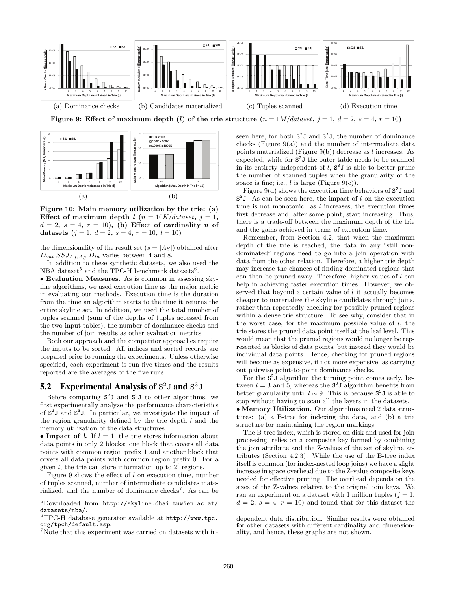

Figure 9: Effect of maximum depth (l) of the trie structure  $(n = 1M/dataset, j = 1, d = 2, s = 4, r = 10)$ 



Figure 10: Main memory utilization by the trie: (a) Effect of maximum depth  $l$  ( $n = 10K/dataset, j = 1$ ,  $d = 2$ ,  $s = 4$ ,  $r = 10$ ), (b) Effect of cardinality n of datasets  $(j = 1, d = 2, s = 4, r = 10, l = 10)$ 

the dimensionality of the result set  $(s = |A_S|)$  obtained after  $D_{out}$   $SSJ_{A,I,As}$   $D_{in}$  varies between 4 and 8.

In addition to these synthetic datasets, we also used the NBA dataset<sup>5</sup> and the TPC-H benchmark datasets<sup>6</sup>.

• Evaluation Measures. As is common in assessing skyline algorithms, we used execution time as the major metric in evaluating our methods. Execution time is the duration from the time an algorithm starts to the time it returns the entire skyline set. In addition, we used the total number of tuples scanned (sum of the depths of tuples accessed from the two input tables), the number of dominance checks and the number of join results as other evaluation metrics.

Both our approach and the competitor approaches require the inputs to be sorted. All indices and sorted records are prepared prior to running the experiments. Unless otherwise specified, each experiment is run five times and the results reported are the averages of the five runs.

# **5.2 Experimental Analysis of** S <sup>2</sup>J **and** S 3J

Before comparing  $S^2J$  and  $S^3J$  to other algorithms, we first experimentally analyze the performance characteristics of S 2 J and S 3 J. In particular, we investigate the impact of the region granularity defined by the trie depth  $l$  and the memory utilization of the data structures.

• Impact of *l*. If  $l = 1$ , the trie stores information about data points in only 2 blocks: one block that covers all data points with common region prefix 1 and another block that covers all data points with common region prefix 0. For a given l, the trie can store information up to  $2<sup>l</sup>$  regions.

Figure 9 shows the effect of l on execution time, number of tuples scanned, number of intermediate candidates materialized, and the number of dominance checks<sup>7</sup>. As can be

seen here, for both  $S^2J$  and  $S^3J$ , the number of dominance checks (Figure  $9(a)$ ) and the number of intermediate data points materialized (Figure  $9(b)$ ) decrease as l increases. As expected, while for  $S^2J$  the outer table needs to be scanned in its entirety independent of  $l$ ,  $S^3J$  is able to better prune the number of scanned tuples when the granularity of the space is fine; i.e.,  $l$  is large (Figure 9(c)).

Figure 9(d) shows the execution time behaviors of  $S^2$ J and  $S<sup>3</sup>$  J. As can be seen here, the impact of l on the execution time is not monotonic: as  $l$  increases, the execution times first decrease and, after some point, start increasing. Thus, there is a trade-off between the maximum depth of the trie and the gains achieved in terms of execution time.

Remember, from Section 4.2, that when the maximum depth of the trie is reached, the data in any "still nondominated" regions need to go into a join operation with data from the other relation. Therefore, a higher trie depth may increase the chances of finding dominated regions that can then be pruned away. Therefore, higher values of l can help in achieving faster execution times. However, we observed that beyond a certain value of  $l$  it actually becomes cheaper to materialize the skyline candidates through joins, rather than repeatedly checking for possibly pruned regions within a dense trie structure. To see why, consider that in the worst case, for the maximum possible value of  $l$ , the trie stores the pruned data point itself at the leaf level. This would mean that the pruned regions would no longer be represented as blocks of data points, but instead they would be individual data points. Hence, checking for pruned regions will become as expensive, if not more expensive, as carrying out pairwise point-to-point dominance checks.

For the  $S^2J$  algorithm the turning point comes early, between  $l = 3$  and 5, whereas the  $S<sup>3</sup>J$  algorithm benefits from better granularity until  $l \sim 9$ . This is because  $S^3 J$  is able to stop without having to scan all the layers in the datasets. • Memory Utilization. Our algorithms need 2 data structures: (a) a B-tree for indexing the data, and (b) a trie structure for maintaining the region markings.

The B-tree index, which is stored on disk and used for join processing, relies on a composite key formed by combining the join attribute and the Z-values of the set of skyline attributes (Section 4.2.3). While the use of the B-tree index itself is common (for index-nested loop joins) we have a slight increase in space overhead due to the Z-value composite keys needed for effective pruning. The overhead depends on the sizes of the Z-values relative to the original join keys. We ran an experiment on a dataset with 1 million tuples ( $j = 1$ ,  $d = 2, s = 4, r = 10$  and found that for this dataset the

<sup>5</sup>Downloaded from http://skyline.dbai.tuwien.ac.at/ datasets/nba/.

<sup>6</sup>TPC-H database generator available at http://www.tpc. org/tpch/default.asp.

<sup>&</sup>lt;sup>7</sup>Note that this experiment was carried on datasets with in-

dependent data distribution. Similar results were obtained for other datasets with different cardinality and dimensionality, and hence, these graphs are not shown.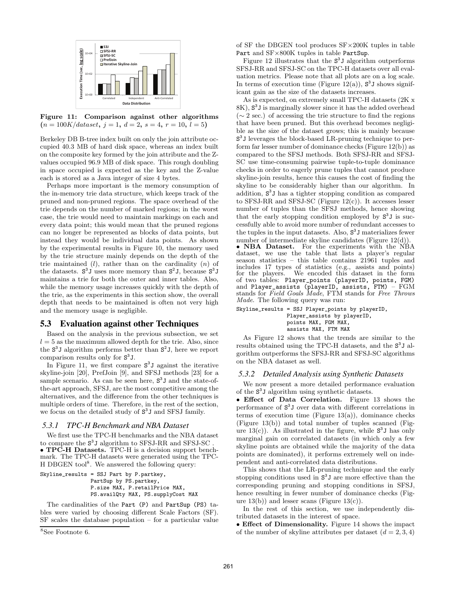

Figure 11: Comparison against other algorithms  $(n = 100K/dataset, j = 1, d = 2, s = 4, r = 10, l = 5)$ 

Berkeley DB B-tree index built on only the join attribute occupied 40.3 MB of hard disk space, whereas an index built on the composite key formed by the join attribute and the Zvalues occupied 96.9 MB of disk space. This rough doubling in space occupied is expected as the key and the Z-value each is stored as a Java integer of size 4 bytes.

Perhaps more important is the memory consumption of the in-memory trie data structure, which keeps track of the pruned and non-pruned regions. The space overhead of the trie depends on the number of marked regions; in the worst case, the trie would need to maintain markings on each and every data point; this would mean that the pruned regions can no longer be represented as blocks of data points, but instead they would be individual data points. As shown by the experimental results in Figure 10, the memory used by the trie structure mainly depends on the depth of the trie maintained  $(l)$ , rather than on the cardinality  $(n)$  of the datasets.  $S^3 J$  uses more memory than  $S^2 J$ , because  $S^3 J$ maintains a trie for both the outer and inner tables. Also, while the memory usage increases quickly with the depth of the trie, as the experiments in this section show, the overall depth that needs to be maintained is often not very high and the memory usage is negligible.

### **5.3 Evaluation against other Techniques**

Based on the analysis in the previous subsection, we set  $l = 5$  as the maximum allowed depth for the trie. Also, since the S 3 J algorithm performs better than S 2 J, here we report comparison results only for  $S^3$ J.

In Figure 11, we first compare  $S<sup>3</sup>J$  against the iterative skyline-join [20], PrefJoin [9], and SFSJ methods [23] for a sample scenario. As can be seen here,  $S^3 J$  and the state-ofthe-art approach, SFSJ, are the most competitive among the alternatives, and the difference from the other techniques is multiple orders of time. Therefore, in the rest of the section, we focus on the detailed study of  $S<sup>3</sup>J$  and SFSJ family.

#### *5.3.1 TPC-H Benchmark and NBA Dataset*

We first use the TPC-H benchmarks and the NBA dataset to compare the  $S^3J$  algorithm to SFSJ-RR and SFSJ-SC . • TPC-H Datasets. TPC-H is a decision support benchmark. The TPC-H datasets were generated using the TPC-H DBGEN tool<sup>8</sup>. We answered the following query:

```
Skyline_results = SSJ Part by P.partkey,
                PartSup by PS.partkey,
                P.size MAX, P.retailPrice MAX,
                PS.availQty MAX, PS.supplyCost MAX
```
The cardinalities of the Part (P) and PartSup (PS) tables were varied by choosing different Scale Factors (SF). SF scales the database population – for a particular value of SF the DBGEN tool produces SF×200K tuples in table Part and SF×800K tuples in table PartSup.

Figure 12 illustrates that the  $S<sup>3</sup>J$  algorithm outperforms SFSJ-RR and SFSJ-SC on the TPC-H datasets over all evaluation metrics. Please note that all plots are on a log scale. In terms of execution time (Figure 12(a)),  $S^3$ J shows significant gain as the size of the datasets increases.

As is expected, on extremely small TPC-H datasets (2K x 8K), S 3 J is marginally slower since it has the added overhead  $({\sim} 2 \text{ sec.})$  of accessing the trie structure to find the regions that have been pruned. But this overhead becomes negligible as the size of the dataset grows; this is mainly because S 3 J leverages the block-based LR-pruning technique to perform far lesser number of dominance checks (Figure 12(b)) as compared to the SFSJ methods. Both SFSJ-RR and SFSJ-SC use time-consuming pairwise tuple-to-tuple dominance checks in order to eagerly prune tuples that cannot produce skyline-join results, hence this causes the cost of finding the skyline to be considerably higher than our algorithm. In addition, S 3 J has a tighter stopping condition as compared to SFSJ-RR and SFSJ-SC (Figure  $12(c)$ ). It accesses lesser number of tuples than the SFSJ methods, hence showing that the early stopping condition employed by  $S^3 J$  is successfully able to avoid more number of redundant accesses to the tuples in the input datasets. Also, S 3 J materializes fewer number of intermediate skyline candidates (Figure 12(d)).

• **NBA** Dataset. For the experiments with the NBA dataset, we use the table that lists a player's regular season statistics – this table contains 21961 tuples and includes 17 types of statistics (e.g., assists and points) for the players. We encoded this dataset in the form of two tables: Player\_points (playerID, points, FGM) and Player\_assists (playerID, assists, FTM) – FGM stands for Field Goals Made, FTM stands for Free Throws Made. The following query was run:

Skyline\_results = SSJ Player\_points by playerID, Player\_assists by playerID, points MAX, FGM MAX, assists MAX, FTM MAX

As Figure 12 shows that the trends are similar to the results obtained using the TPC-H datasets, and the  $S<sup>3</sup>J$  algorithm outperforms the SFSJ-RR and SFSJ-SC algorithms on the NBA dataset as well.

### *5.3.2 Detailed Analysis using Synthetic Datasets*

We now present a more detailed performance evaluation of the S 3 J algorithm using synthetic datasets.

• Effect of Data Correlation. Figure 13 shows the performance of S 3 J over data with different correlations in terms of execution time (Figure  $13(a)$ ), dominance checks (Figure 13(b)) and total number of tuples scanned (Figure  $13(c)$ ). As illustrated in the figure, while  $S^3$ J has only marginal gain on correlated datasets (in which only a few skyline points are obtained while the majority of the data points are dominated), it performs extremely well on independent and anti-correlated data distributions.

This shows that the LR-pruning technique and the early stopping conditions used in S 3 J are more effective than the corresponding pruning and stopping conditions in SFSJ, hence resulting in fewer number of dominance checks (Figure  $13(b)$  and lesser scans (Figure  $13(c)$ ).

In the rest of this section, we use independently distributed datasets in the interest of space.

• Effect of Dimensionality. Figure 14 shows the impact of the number of skyline attributes per dataset  $(d = 2, 3, 4)$ 

<sup>8</sup> See Footnote 6.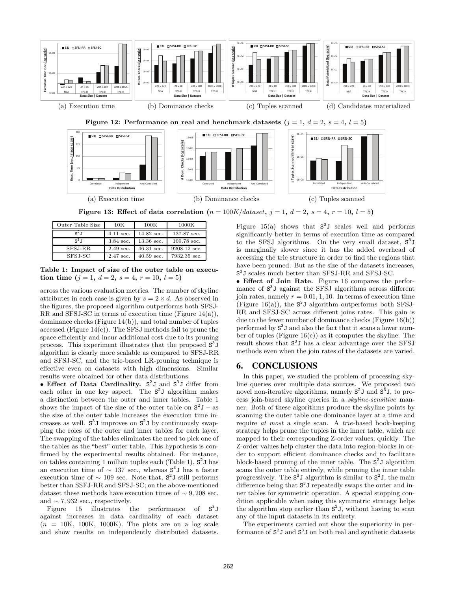

Figure 13: Effect of data correlation  $(n = 100K/dataset, j = 1, d = 2, s = 4, r = 10, l = 5)$ 

| Outer Table Size | 10K         | 100K                 | 1000K        |
|------------------|-------------|----------------------|--------------|
| $S^2.1$          | $4.11$ sec. | $14.82$ sec.         | 137.87 sec.  |
| $S^3$ T          | $3.84$ sec. | $13.36$ sec.         | 109.78 sec.  |
| SFSJ-RR          | $2.49$ sec. | $46.31$ sec.         | 9208.12 sec. |
| SFSJ-SC          | $2.47$ sec. | $40.59 \text{ sec.}$ | 7932.35 sec. |

Table 1: Impact of size of the outer table on execution time  $(j = 1, d = 2, s = 4, r = 10, l = 5)$ 

across the various evaluation metrics. The number of skyline attributes in each case is given by  $s = 2 \times d$ . As observed in the figures, the proposed algorithm outperforms both SFSJ-RR and SFSJ-SC in terms of execution time (Figure 14(a)), dominance checks (Figure 14(b)), and total number of tuples accessed (Figure  $14(c)$ ). The SFSJ methods fail to prune the space efficiently and incur additional cost due to its pruning process. This experiment illustrates that the proposed  $S<sup>3</sup>J$ algorithm is clearly more scalable as compared to SFSJ-RR and SFSJ-SC, and the trie-based LR-pruning technique is effective even on datasets with high dimensions. Similar results were obtained for other data distributions.

• Effect of Data Cardinality. S<sup>2</sup>J and S<sup>3</sup>J differ from each other in one key aspect. The  $S^2J$  algorithm makes a distinction between the outer and inner tables. Table 1 shows the impact of the size of the outer table on  $S^2 J - as$ the size of the outer table increases the execution time increases as well.  $S^3 J$  improves on  $S^2 J$  by continuously swapping the roles of the outer and inner tables for each layer. The swapping of the tables eliminates the need to pick one of the tables as the "best" outer table. This hypothesis is confirmed by the experimental results obtained. For instance, on tables containing 1 million tuples each (Table 1),  $S^2$ J has an execution time of  $\sim 137$  sec., whereas  $S^3 J$  has a faster execution time of  $\sim 109$  sec. Note that,  $S^2J$  still performs better than SSFJ-RR and SFSJ-SC; on the above-mentioned dataset these methods have execution times of  $\sim$  9, 208 sec. and  $\sim$  7,932 sec., respectively.

Figure 15 illustrates the 3 J against increases in data cardinality of each dataset  $(n = 10K, 100K, 1000K)$ . The plots are on a log scale and show results on independently distributed datasets.

Figure 15(a) shows that  $S^3J$  scales well and performs significantly better in terms of execution time as compared to the SFSJ algorithms. On the very small dataset,  $S^3J$ is marginally slower since it has the added overhead of accessing the trie structure in order to find the regions that have been pruned. But as the size of the datasets increases, S 3 J scales much better than SFSJ-RR and SFSJ-SC.

• Effect of Join Rate. Figure 16 compares the performance of  $S<sup>3</sup>J$  against the SFSJ algorithms across different join rates, namely  $r = 0.01, 1, 10$ . In terms of execution time (Figure 16(a)), the  $S^3J$  algorithm outperforms both SFSJ-RR and SFSJ-SC across different joins rates. This gain is due to the fewer number of dominance checks (Figure 16(b)) performed by S 3 J and also the fact that it scans a lower number of tuples (Figure 16(c)) as it computes the skyline. The result shows that  $S^3$ J has a clear advantage over the SFSJ methods even when the join rates of the datasets are varied.

# **6. CONCLUSIONS**

In this paper, we studied the problem of processing skyline queries over multiple data sources. We proposed two novel non-iterative algorithms, namely  $S^2J$  and  $S^3J$ , to process join-based skyline queries in a skyline-sensitive manner. Both of these algorithms produce the skyline points by scanning the outer table one dominance layer at a time and require at most a single scan. A trie-based book-keeping strategy helps prune the tuples in the inner table, which are mapped to their corresponding Z-order values, quickly. The Z-order values help cluster the data into region-blocks in order to support efficient dominance checks and to facilitate block-based pruning of the inner table. The  $S^2$ J algorithm scans the outer table entirely, while pruning the inner table progressively. The  $S^3J$  algorithm is similar to  $S^2J$ , the main difference being that  $S^3$ J repeatedly swaps the outer and inner tables for symmetric operation. A special stopping condition applicable when using this symmetric strategy helps the algorithm stop earlier than  $S^2 J$ , without having to scan any of the input datasets in its entirety.

The experiments carried out show the superiority in performance of  $S^2J$  and  $S^3J$  on both real and synthetic datasets